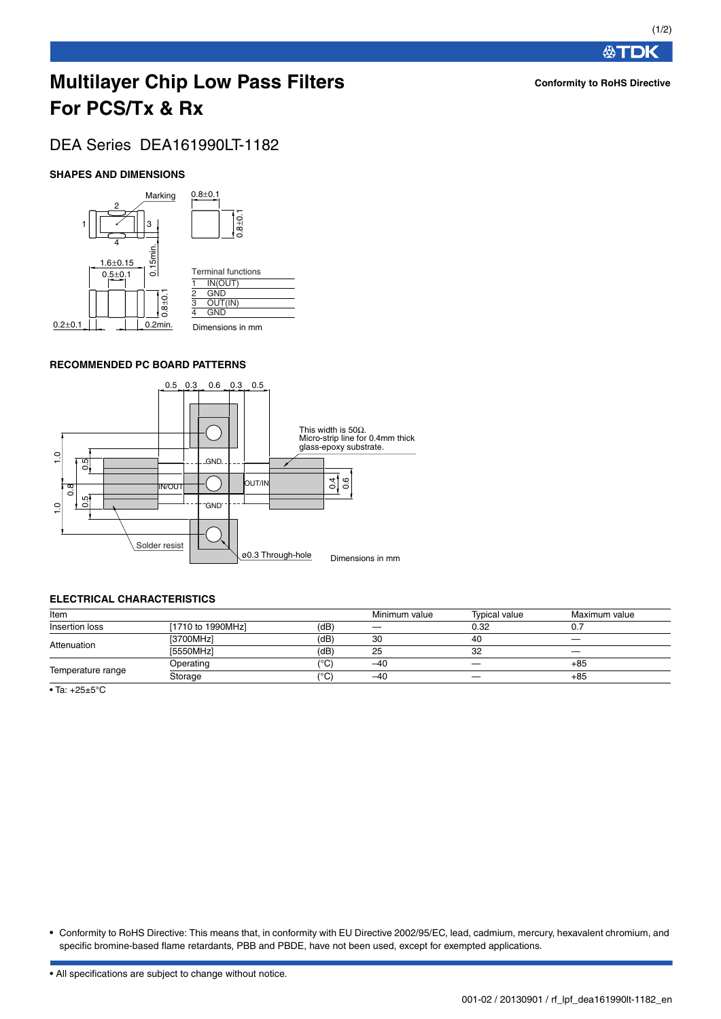## **Multilayer Chip Low Pass Filters For PCS/Tx & Rx**

### DEA Series DEA161990LT-1182

#### **SHAPES AND DIMENSIONS**



#### **RECOMMENDED PC BOARD PATTERNS**



#### **ELECTRICAL CHARACTERISTICS**

| Item              |                   |                     | Minimum value | Typical value | Maximum value |
|-------------------|-------------------|---------------------|---------------|---------------|---------------|
| Insertion loss    | [1710 to 1990MHz] | (dB)                |               | 0.32          |               |
| Attenuation       | [3700MHz]         | (dB)                | 30            | 40            |               |
|                   | [5550MHz]         | (dB)                | 25            | 32            |               |
| Temperature range | Operating         | '°C)                | $-40$         |               | +85           |
|                   | Storage           | $^{\prime\circ}$ C) | $-40$         | __            | +85           |

• Ta: +25±5°C

• Conformity to RoHS Directive: This means that, in conformity with EU Directive 2002/95/EC, lead, cadmium, mercury, hexavalent chromium, and specific bromine-based flame retardants, PBB and PBDE, have not been used, except for exempted applications.

• All specifications are subject to change without notice.

**公丁DK**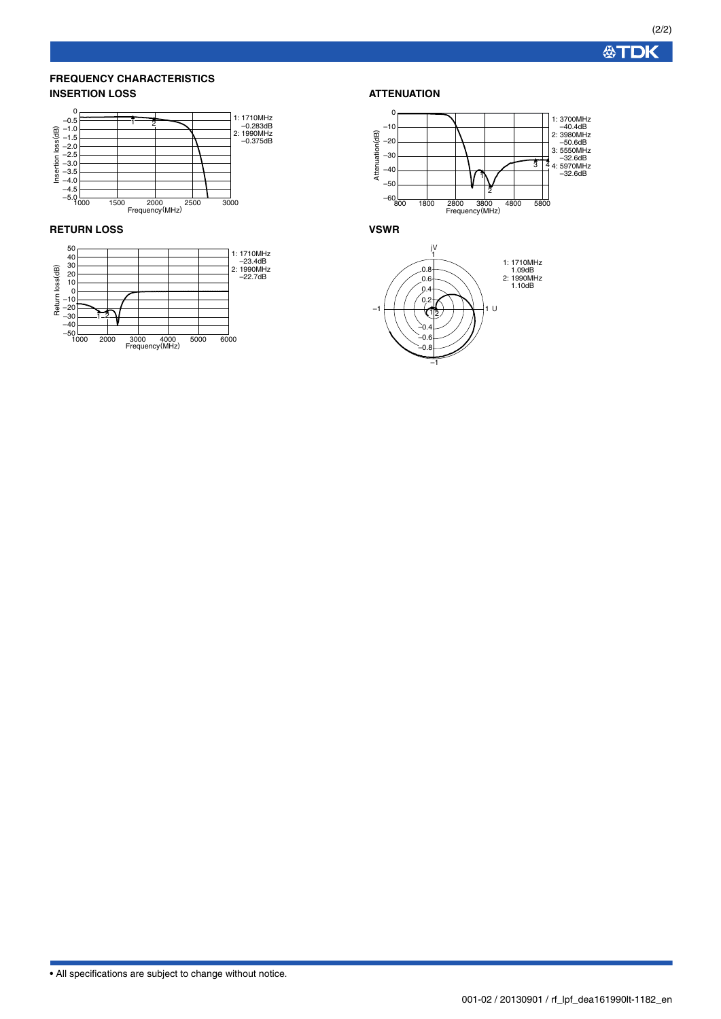**公丁DK** 

#### **FREQUENCY CHARACTERISTICS INSERTION LOSS**



#### **RETURN LOSS**



#### **ATTENUATION**



**VSWR**



• All specifications are subject to change without notice.